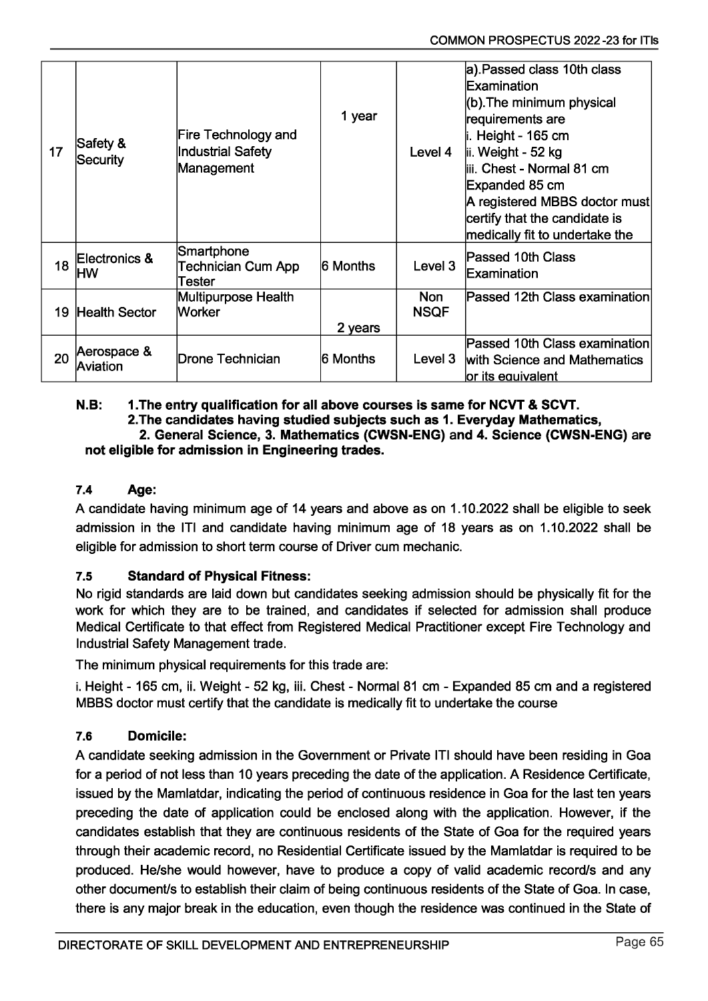| 17 | Safety &<br>Security           | Fire Technology and<br>Industrial Safety<br>Management | 1 year   | Level 4                   | a). Passed class 10th class<br>Examination<br>$ $ (b). The minimum physical<br>requirements are<br>li. Height - 165 cm<br>lii. Weight - 52 kg<br>liii. Chest - Normal 81 cm<br>Expanded 85 cm<br>A registered MBBS doctor must<br>certify that the candidate is<br>medically fit to undertake the |
|----|--------------------------------|--------------------------------------------------------|----------|---------------------------|---------------------------------------------------------------------------------------------------------------------------------------------------------------------------------------------------------------------------------------------------------------------------------------------------|
| 18 | Electronics &<br>НW            | Smartphone<br>Technician Cum App<br>Tester             | 6 Months | Level 3                   | Passed 10th Class<br><b>Examination</b>                                                                                                                                                                                                                                                           |
| 19 | Health Sector                  | Multipurpose Health<br><b>Worker</b>                   | 2 years  | <b>Non</b><br><b>NSQF</b> | Passed 12th Class examination                                                                                                                                                                                                                                                                     |
| 20 | Aerospace &<br><b>Aviation</b> | Drone Technician                                       | 6 Months | Level 3                   | Passed 10th Class examination<br>with Science and Mathematics<br>or its equivalent                                                                                                                                                                                                                |

#### N.B: 1 .The entry qualification for all above courses is same for NCVT & SCVT. 2.The candidates having studied subjects such as 1. Everyday Mathematics, 2. General Science, 3. Mathematics (CWSN-ENG) and 4. Science (CWSN-ENG) are not eligible for admission in Engineering trades.

# 7.4 Age:

A candidate having minimum age of 14 years and above as on 1.10.2022 shall be eligible to seek admission in the ITI and candidate having minimum age of 18 years as on 1.10.2022 shall be eligible for admission to short term course of Driver cum mechanic.

## 7.5 Standard of Physical Fitness:

No rigid standards are laid down but candidates seeking admission should be physically fit for the work for which they are to be trained, and candidates if selected for admission shall produce Medical Certificate to that effect from Registered Medical Practitioner except Fire Technology and Industrial Safety Management trade.

The minimum physical requirements for this trade are:

i. Height -165 cm, ii. Weight - 52 kg, iii. Chest - Normal 81 cm - Expanded 85 cm and a registered MBBS doctor must certify that the candidate is medically fit to undertake the course

## 7.6 Domicile:

A candidate seeking admission in the Government or Private ITI should have been residing in Goa for a period of not less than 10 years preceding the date of the application. A Residence Certificate, issued by the Mamlatdar, indicating the period of continuous residence in Goa for the last ten years preceding the date of application could be enclosed along with the application. However, if the candidates establish that they are continuous residents of the State of Goa for the required years through their academic record, no Residential Certificate issued by the Mamlatdar is required to be produced. He/she would however, have to produce a copy of valid academic record/s and any other document/s to establish their claim of being continuous residents of the State of Goa. In case, there is any major break in the education, even though the residence was continued in the State of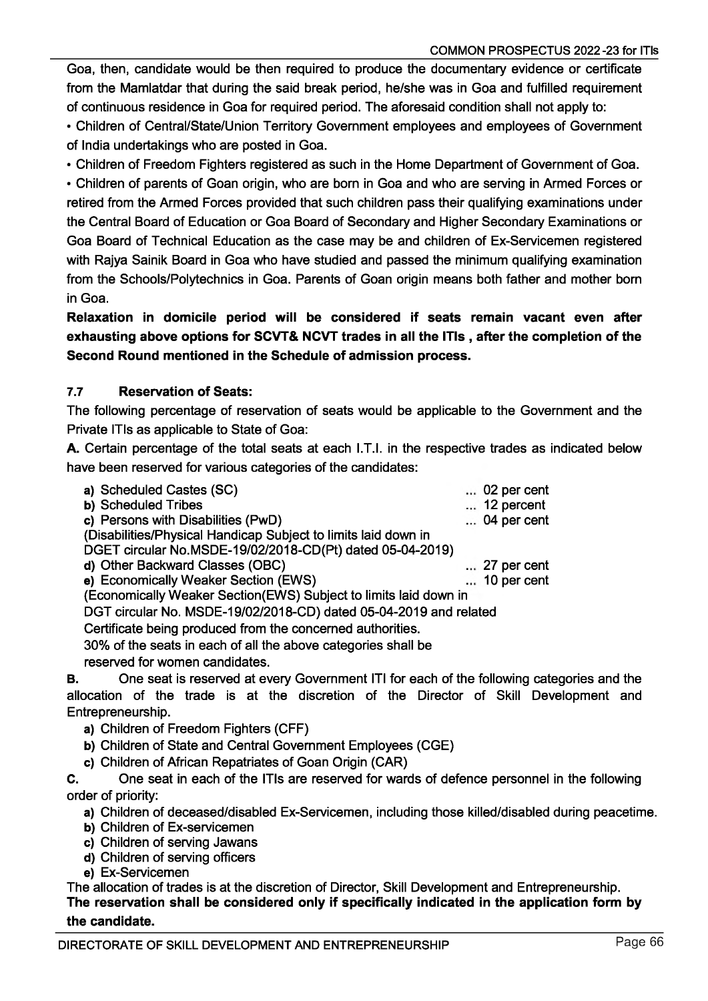COMMON PROSPECTUS 2022-23 for ITIs

Goa, then, candidate would be then required to produce the documentary evidence or certificate from the Mamlatdar that during the said break period, he/she was in Goa and fulfilled requirement of continuous residence in Goa for required period. The aforesaid condition shall not apply to:

• Children of Central/State/Union Territory Government employees and employees of Government of India undertakings who are posted in Goa.

• Children of Freedom Fighters registered as such in the Home Department of Government of Goa. • Children of parents of Goan origin, who are born in Goa and who are serving in Armed Forces or retired from the Armed Forces provided that such children pass their qualifying examinations under the Central Board of Education or Goa Board of Secondary and Higher Secondary Examinations or Goa Board of Technical Education as the case may be and children of Ex-Servicemen registered with Rajya Sainik Board in Goa who have studied and passed the minimum qualifying examination from the Schools/Polytechnics in Goa. Parents of Goan origin means both father and mother born in Goa.

Relaxation in domicile period will be considered if seats remain vacant even after exhausting above options for SCVT& NCVT trades in all the ITIs , after the completion of the Second Round mentioned in the Schedule of admission process.

## 7.7 Reservation of Seats:

The following percentage of reservation of seats would be applicable to the Government and the Private ITIs as applicable to State of Goa:

A. Certain percentage of the total seats at each I.T.I. in the respective trades as indicated below have been reserved for various categories of the candidates:

| a) Scheduled Castes (SC)                                          | $\ldots$ 02 per cent |
|-------------------------------------------------------------------|----------------------|
| <b>b)</b> Scheduled Tribes                                        | $\dots$ 12 percent   |
| c) Persons with Disabilities (PwD)                                | $\ldots$ 04 per cent |
| (Disabilities/Physical Handicap Subject to limits laid down in    |                      |
| DGET circular No.MSDE-19/02/2018-CD(Pt) dated 05-04-2019)         |                      |
| d) Other Backward Classes (OBC)                                   | $\ldots$ 27 per cent |
| e) Economically Weaker Section (EWS)                              | $\ldots$ 10 per cent |
| (Economically Weaker Section(EWS) Subject to limits laid down in  |                      |
| DGT circular No. MSDE-19/02/2018-CD) dated 05-04-2019 and related |                      |
| Certificate being produced from the concerned authorities.        |                      |
|                                                                   |                      |

30% of the seats in each of all the above categories shall be

reserved for women candidates.

B. One seat is reserved at every Government ITI for each of the following categories and the allocation of the trade is at the discretion of the Director of Skill Development and Entrepreneurship.

**a)** Children of Freedom Fighters (CFF)

b) Children of State and Central Government Employees (CGE)

c) Children of African Repatriates of Goan Origin (CAR)

C. One seat in each of the ITIs are reserved for wards of defence personnel in the following order of priority:

**a)** Children of deceased/disabled Ex-Servicemen, including those killed/disabled during peacetime.

b) Children of Ex-servicemen

- c) Children of serving Jawans
- d) Children of serving officers

e) Ex-Servicemen

The allocation of trades is at the discretion of Director, Skill Development and Entrepreneurship. The reservation shall be considered only if specifically indicated in the application form by the candidate.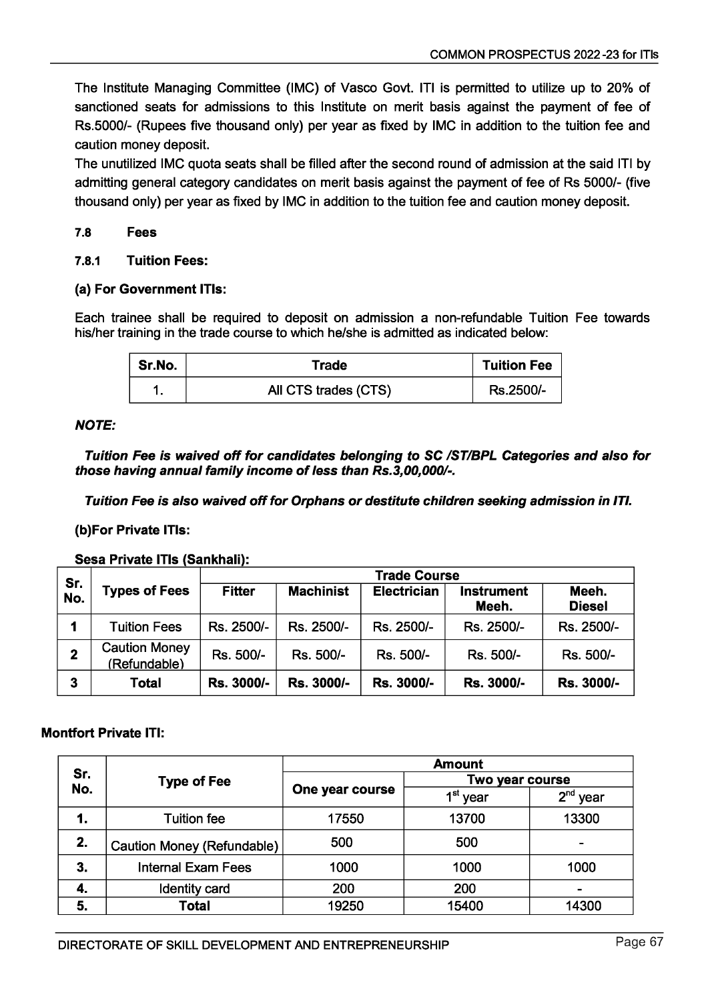The Institute Managing Committee (IMC) of Vasco Govt. ITI is permitted to utilize up to 20% of sanctioned seats for admissions to this Institute on merit basis against the payment of fee of Rs.5000/- (Rupees five thousand only) per year as fixed by IMC in addition to the tuition fee and caution money deposit.

The unutilized IMC quota seats shall be filled after the second round of admission at the said ITI by admitting general category candidates on merit basis against the payment of fee of Rs 5000/- (five thousand only) per year as fixed by IMC in addition to the tuition fee and caution money deposit.

### **7.8 Fees**

#### **7.8.1 Tuition Fees:**

#### **(a) For Government ITIs:**

Each trainee shall be required to deposit on admission a non-refundable Tuition Fee towards his/her training in the trade course to which he/she is admitted as indicated below:

| Sr.No. | Trade                | <b>Tuition Fee</b> |
|--------|----------------------|--------------------|
|        | All CTS trades (CTS) | Rs.2500/-          |

#### *NOTE:*

*Tuition* Fee *is waived off for candidates belonging to SC /ST/BPL Categories and also for those having annual family income of less than Rs.3,00,000/-.*

*Tuition Fee is also waived off for Orphans or destitute children seeking admission in ITI.*

#### **(b)For Private ITIs:**

**Sesa Private ITIs (Sankhali):**

|              |                                      | <b>Trade Course</b> |                  |                    |                            |                        |
|--------------|--------------------------------------|---------------------|------------------|--------------------|----------------------------|------------------------|
| Sr.<br>No.   | <b>Types of Fees</b>                 | <b>Fitter</b>       | <b>Machinist</b> | <b>Electrician</b> | <b>Instrument</b><br>Meeh. | Meeh.<br><b>Diesel</b> |
| 1            | <b>Tuition Fees</b>                  | Rs. 2500/-          | Rs. 2500/-       | Rs. 2500/-         | Rs. 2500/-                 | Rs. 2500/-             |
| $\mathbf 2$  | <b>Caution Money</b><br>(Refundable) | Rs. 500/-           | Rs. 500/-        | Rs. 500/-          | Rs. 500/-                  | Rs. 500/-              |
| $\mathbf{3}$ | Total                                | Rs. 3000/-          | Rs. 3000/-       | Rs. 3000/-         | Rs. 3000/-                 | Rs. 3000/-             |

#### **Montfort Private ITI:**

|            |                            | <b>Amount</b>   |                      |             |  |
|------------|----------------------------|-----------------|----------------------|-------------|--|
| Sr.<br>No. | <b>Type of Fee</b>         |                 | Two year course      |             |  |
|            |                            | One year course | 1 <sup>st</sup> year | י∩ת<br>year |  |
| 1.         | <b>Tuition fee</b>         | 17550           | 13700                | 13300       |  |
| 2.         | Caution Money (Refundable) | 500             | 500                  | -           |  |
| 3.         | <b>Internal Exam Fees</b>  | 1000            | 1000                 | 1000        |  |
| 4.         | Identity card              | 200             | 200                  |             |  |
| 5.         | Total                      | 19250           | 15400                | 14300       |  |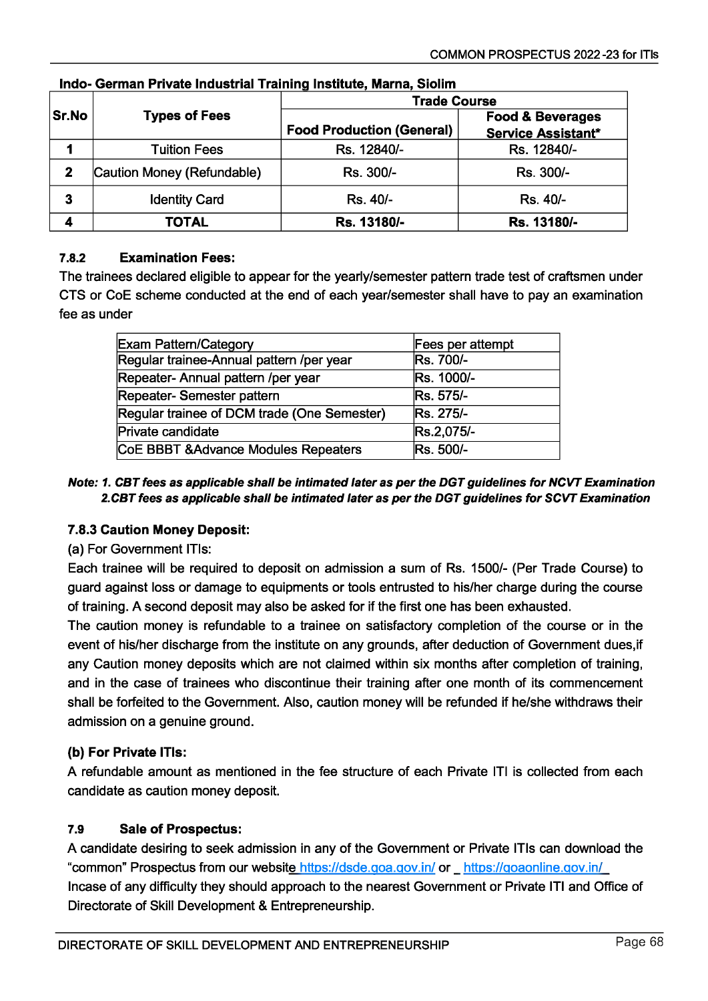|       |                            | <b>Trade Course</b>              |                                                          |  |  |
|-------|----------------------------|----------------------------------|----------------------------------------------------------|--|--|
| Sr.No | <b>Types of Fees</b>       | <b>Food Production (General)</b> | <b>Food &amp; Beverages</b><br><b>Service Assistant*</b> |  |  |
|       | <b>Tuition Fees</b>        | Rs. 12840/-                      | Rs. 12840/-                                              |  |  |
| 2     | Caution Money (Refundable) | Rs. 300/-                        | Rs. 300/-                                                |  |  |
| 3     | <b>Identity Card</b>       | Rs. 40/-                         | Rs. 40/-                                                 |  |  |
|       | <b>TOTAL</b>               | Rs. 13180/-                      | Rs. 13180/-                                              |  |  |

## Indo- German Private Industrial Training Institute, Marna, Siolim

## 7.8.2 Examination Fees:

The trainees declared eligible to appear for the yearly/semester pattern trade test of craftsmen under CTS or CoE scheme conducted at the end of each year/semester shall have to pay an examination fee as under

| <b>Exam Pattern/Category</b>                | Fees per attempt |
|---------------------------------------------|------------------|
| Regular trainee-Annual pattern /per year    | Rs. 700/-        |
| Repeater- Annual pattern /per year          | Rs. 1000/-       |
| Repeater- Semester pattern                  | Rs. 575/-        |
| Regular trainee of DCM trade (One Semester) | <b>Rs. 275/-</b> |
| Private candidate                           | Rs.2,075/-       |
| CoE BBBT & Advance Modules Repeaters        | Rs. 500/-        |

#### *Note: 1. CBT fees as applicable shall be intimated later as per the DGT guidelines for NCVT Examination 2.CBT fees as applicable shall be intimated later as per the DGT guidelines for SCVT Examination*

## 7.8.3 Caution Money Deposit:

## (a) For Government ITIs:

Each trainee will be required to deposit on admission a sum of Rs. 1500/- (Per Trade Course) to guard against loss or damage to equipments or tools entrusted to his/her charge during the course of training. A second deposit may also be asked for if the first one has been exhausted.

The caution money is refundable to a trainee on satisfactory completion of the course or in the event of his/her discharge from the institute on any grounds, after deduction of Government dues,if any Caution money deposits which are not claimed within six months after completion of training, and in the case of trainees who discontinue their training after one month of its commencement shall be forfeited to the Government. Also, caution money will be refunded if he/she withdraws their admission on a genuine ground.

## (b) For Private ITIs:

A refundable amount as mentioned in the fee structure of each Private ITI is collected from each candidate as caution money deposit.

## 7.9 Sale of Prospectus:

A candidate desiring to seek admission in any of the Government or Private ITIs can download the "common" Prospectus from our website https://dsde.goa.gov.in/ or https://goaonline.gov.in/ Incase of any difficulty they should approach to the nearest Government or Private ITI and Office of Directorate of Skill Development & Entrepreneurship.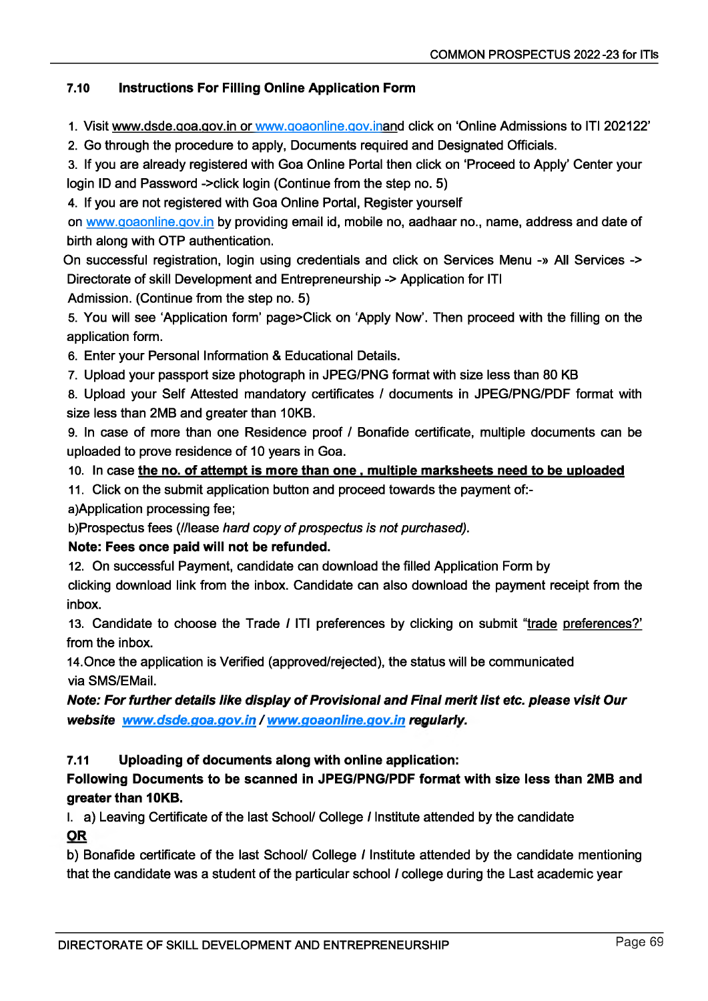## 7.10 Instructions For Filling Online Application Form

1. Visit [www.dsde.goa.gov.in](http://www.dsde.goa.gov.in) or [www.aoaonline.gov.inand](http://www.aoaonline.gov.inand) click on 'Online Admissions to ITI 202122'

2. Go through the procedure to apply, Documents required and Designated Officials.

3. If you are already registered with Goa Online Portal then click on 'Proceed to Apply' Center your login ID and Password ->click login (Continue from the step no. 5)

4. If you are not registered with Goa Online Portal, Register yourself

on [www.goaonline.gov.in](http://www.goaonline.gov.in) by providing email id, mobile no, aadhaar no., name, address and date of birth along with OTP authentication.

On successful registration, login using credentials and click on Services Menu -» All Services -> Directorate of skill Development and Entrepreneurship -> Application for ITI

Admission. (Continue from the step no. 5)

5. You will see 'Application form' page>Click on 'Apply Now'. Then proceed with the filling on the application form.

6. Enter your Personal Information & Educational Details.

7. Upload your passport size photograph in JPEG/PNG format with size less than 80 KB

8. Upload your Self Attested mandatory certificates / documents in JPEG/PNG/PDF format with size less than 2MB and greater than 10KB.

9. In case of more than one Residence proof / Bonafide certificate, multiple documents can be uploaded to prove residence of 10 years in Goa.

10. In case the no. of attempt is more than one, multiple marksheets need to be uploaded

11. Click on the submit application button and proceed towards the payment of:-

a)Application processing fee;

b)Prospectus fees (//lease *hard copy of prospectus is not purchased).*

# Note: Fees once paid will not be refunded.

12. On successful Payment, candidate can download the filled Application Form by

clicking download link from the inbox. Candidate can also download the payment receipt from the inbox.

13. Candidate to choose the Trade *I* ITI preferences by clicking on submit "trade preferences?' from the inbox.

14.0nce the application is Verified (approved/rejected), the status will be communicated via SMS/EMail.

# *Note: For further details like display of Provisional and Final merit list etc. please visit Our website [www.dsde.aoa.aov.in](http://www.dsde.aoa.aov.in)* / *[www.aoaonline.aov.in](http://www.aoaonline.aov.in) regularly.*

# 7.11 Uploading of documents along with online application:

# Following Documents to be scanned in JPEG/PNG/PDF format with size less than 2MB and greater than 10KB.

I. a) Leaving Certificate of the last School/ College *I* Institute attended by the candidate OR

b) Bonafide certificate of the last School/ College *I* Institute attended by the candidate mentioning that the candidate was a student of the particular school *I* college during the Last academic year